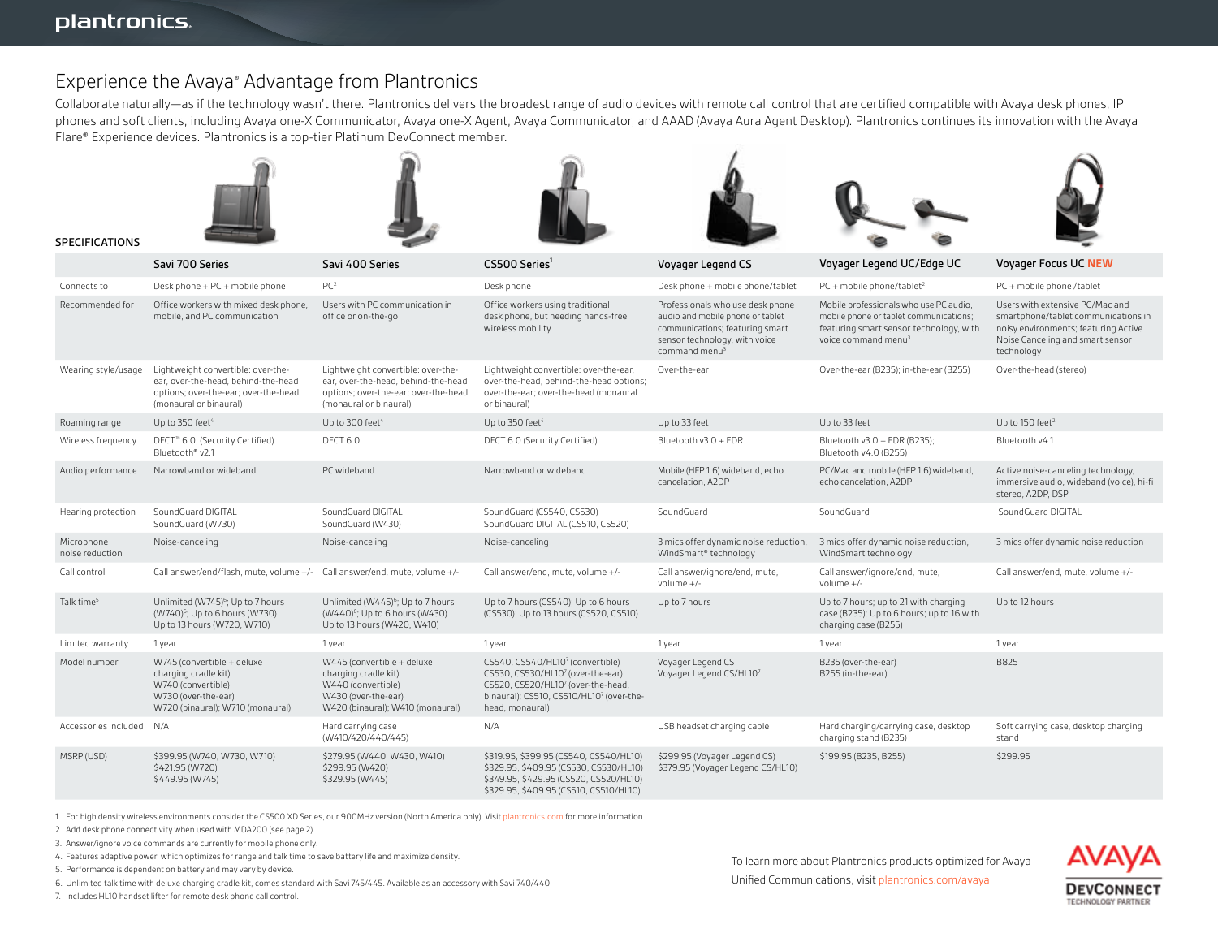SPECIFICATIONS

# Experience the Avaya® Advantage from Plantronics

Collaborate naturally—as if the technology wasn't there. Plantronics delivers the broadest range of audio devices with remote call control that are certified compatible with Avaya desk phones, IP phones and soft clients, including Avaya one-X Communicator, Avaya one-X Agent, Avaya Communicator, and AAAD (Avaya Aura Agent Desktop). Plantronics continues its innovation with the Avaya Flare® Experience devices. Plantronics is a top-tier Platinum DevConnect member.













|                               | Savi 700 Series                                                                                                                             | Savi 400 Series                                                                                                                             | CS500 Series <sup>1</sup>                                                                                                                                                                          | Voyager Legend CS                                                                                                                                                     | Voyager Legend UC/Edge UC                                                                                                                                      | Voyager Focus UC NEW                                                                                                                                             |
|-------------------------------|---------------------------------------------------------------------------------------------------------------------------------------------|---------------------------------------------------------------------------------------------------------------------------------------------|----------------------------------------------------------------------------------------------------------------------------------------------------------------------------------------------------|-----------------------------------------------------------------------------------------------------------------------------------------------------------------------|----------------------------------------------------------------------------------------------------------------------------------------------------------------|------------------------------------------------------------------------------------------------------------------------------------------------------------------|
| Connects to                   | Desk phone + PC + mobile phone                                                                                                              | PC <sup>2</sup>                                                                                                                             | Desk phone                                                                                                                                                                                         | Desk phone + mobile phone/tablet                                                                                                                                      | $PC + mobile phone/tablet2$                                                                                                                                    | PC + mobile phone /tablet                                                                                                                                        |
| Recommended for               | Office workers with mixed desk phone,<br>mobile, and PC communication                                                                       | Users with PC communication in<br>office or on-the-go                                                                                       | Office workers using traditional<br>desk phone, but needing hands-free<br>wireless mobility                                                                                                        | Professionals who use desk phone<br>audio and mobile phone or tablet<br>communications; featuring smart<br>sensor technology, with voice<br>command menu <sup>3</sup> | Mobile professionals who use PC audio,<br>mobile phone or tablet communications;<br>featuring smart sensor technology, with<br>voice command menu <sup>3</sup> | Users with extensive PC/Mac and<br>smartphone/tablet communications in<br>noisy environments; featuring Active<br>Noise Canceling and smart sensor<br>technology |
| Wearing style/usage           | Lightweight convertible: over-the-<br>ear, over-the-head, behind-the-head<br>options; over-the-ear; over-the-head<br>(monaural or binaural) | Lightweight convertible: over-the-<br>ear, over-the-head, behind-the-head<br>options; over-the-ear; over-the-head<br>(monaural or binaural) | Lightweight convertible: over-the-ear,<br>over-the-head, behind-the-head options;<br>over-the-ear; over-the-head (monaural<br>or binaural)                                                         | Over-the-ear                                                                                                                                                          | Over-the-ear (B235); in-the-ear (B255)                                                                                                                         | Over-the-head (stereo)                                                                                                                                           |
| Roaming range                 | Up to $350$ feet <sup>4</sup>                                                                                                               | Up to 300 feet <sup>4</sup>                                                                                                                 | Up to 350 feet <sup>4</sup>                                                                                                                                                                        | Up to 33 feet                                                                                                                                                         | Up to 33 feet                                                                                                                                                  | Up to 150 feet <sup>2</sup>                                                                                                                                      |
| Wireless frequency            | DECT <sup>™</sup> 6.0, (Security Certified)<br>Bluetooth® v2.1                                                                              | DECT <sub>6.0</sub>                                                                                                                         | DECT 6.0 (Security Certified)                                                                                                                                                                      | Bluetooth v3.0 + EDR                                                                                                                                                  | Bluetooth v3.0 + EDR (B235);<br>Bluetooth v4.0 (B255)                                                                                                          | Bluetooth v4.1                                                                                                                                                   |
| Audio performance             | Narrowband or wideband                                                                                                                      | PC wideband                                                                                                                                 | Narrowband or wideband                                                                                                                                                                             | Mobile (HFP 1.6) wideband, echo<br>cancelation, A2DP                                                                                                                  | PC/Mac and mobile (HFP 1.6) wideband,<br>echo cancelation. A2DP                                                                                                | Active noise-canceling technology,<br>immersive audio, wideband (voice), hi-fi<br>stereo, A2DP, DSP                                                              |
| Hearing protection            | SoundGuard DIGITAL<br>SoundGuard (W730)                                                                                                     | SoundGuard DIGITAL<br>SoundGuard (W430)                                                                                                     | SoundGuard (CS540, CS530)<br>SoundGuard DIGITAL (CS510, CS520)                                                                                                                                     | SoundGuard                                                                                                                                                            | SoundGuard                                                                                                                                                     | SoundGuard DIGITAL                                                                                                                                               |
| Microphone<br>noise reduction | Noise-canceling                                                                                                                             | Noise-canceling                                                                                                                             | Noise-canceling                                                                                                                                                                                    | 3 mics offer dynamic noise reduction,<br>WindSmart® technology                                                                                                        | 3 mics offer dynamic noise reduction,<br>WindSmart technology                                                                                                  | 3 mics offer dynamic noise reduction                                                                                                                             |
| Call control                  | Call answer/end/flash, mute, volume +/- Call answer/end, mute, volume +/-                                                                   |                                                                                                                                             | Call answer/end. mute. volume +/-                                                                                                                                                                  | Call answer/ignore/end, mute,<br>volume $+/-$                                                                                                                         | Call answer/ignore/end, mute,<br>volume $+/-$                                                                                                                  | Call answer/end, mute, volume +/-                                                                                                                                |
| Talk time <sup>5</sup>        | Unlimited (W745) <sup>6</sup> ; Up to 7 hours<br>(W740) <sup>6</sup> ; Up to 6 hours (W730)<br>Up to 13 hours (W720, W710)                  | Unlimited (W445) <sup>6</sup> ; Up to 7 hours<br>(W440) <sup>6</sup> ; Up to 6 hours (W430)<br>Up to 13 hours (W420, W410)                  | Up to 7 hours (CS540); Up to 6 hours<br>(CS530); Up to 13 hours (CS520, CS510)                                                                                                                     | Up to 7 hours                                                                                                                                                         | Up to 7 hours; up to 21 with charging<br>case (B235); Up to 6 hours; up to 16 with<br>charging case (B255)                                                     | Up to 12 hours                                                                                                                                                   |
| Limited warranty              | 1 year                                                                                                                                      | 1 year                                                                                                                                      | 1 year                                                                                                                                                                                             | 1 year                                                                                                                                                                | 1 year                                                                                                                                                         | 1 year                                                                                                                                                           |
| Model number                  | W745 (convertible + deluxe<br>charging cradle kit)<br>W740 (convertible)<br>W730 (over-the-ear)<br>W720 (binaural); W710 (monaural)         | W445 (convertible + deluxe<br>charging cradle kit)<br>W440 (convertible)<br>W430 (over-the-ear)<br>W420 (binaural); W410 (monaural)         | CS540, CS540/HL107 (convertible)<br>CS530, CS530/HL10 <sup>7</sup> (over-the-ear)<br>CS520, CS520/HL107 (over-the-head,<br>binaural); CS510, CS510/HL10 <sup>7</sup> (over-the-<br>head, monaural) | Voyager Legend CS<br>Voyager Legend CS/HL107                                                                                                                          | B235 (over-the-ear)<br>B255 (in-the-ear)                                                                                                                       | B825                                                                                                                                                             |
| Accessories included          | N/A                                                                                                                                         | Hard carrying case<br>(W410/420/440/445)                                                                                                    | N/A                                                                                                                                                                                                | USB headset charging cable                                                                                                                                            | Hard charging/carrying case, desktop<br>charging stand (B235)                                                                                                  | Soft carrying case, desktop charging<br>stand                                                                                                                    |
| MSRP (USD)                    | \$399.95 (W740, W730, W710)<br>\$421.95 (W720)<br>\$449.95 (W745)                                                                           | \$279.95 (W440, W430, W410)<br>\$299.95 (W420)<br>\$329.95 (W445)                                                                           | \$319.95, \$399.95 (CS540, CS540/HL10)<br>\$329.95, \$409.95 (CS530, CS530/HL10)<br>\$349.95, \$429.95 (CS520, CS520/HL10)<br>\$329.95, \$409.95 (CS510, CS510/HL10)                               | \$299.95 (Voyager Legend CS)<br>\$379.95 (Voyager Legend CS/HL10)                                                                                                     | \$199.95 (B235, B255)                                                                                                                                          | \$299.95                                                                                                                                                         |

1. For high density wireless environments consider the CS500 XD Series, our 900MHz version (North America only). Visit plantronics.com for more information.

2. Add desk phone connectivity when used with MDA200 (see page 2).

3. Answer/ignore voice commands are currently for mobile phone only.

4. Features adaptive power, which optimizes for range and talk time to save battery life and maximize density.

5. Performance is dependent on battery and may vary by device.

6. Unlimited talk time with deluxe charging cradle kit, comes standard with Savi 745/445. Available as an accessory with Savi 740/440.

7. Includes HL10 handset lifter for remote desk phone call control.

To learn more about Plantronics products optimized for Avaya Unified Communications, visit plantronics.com/avaya